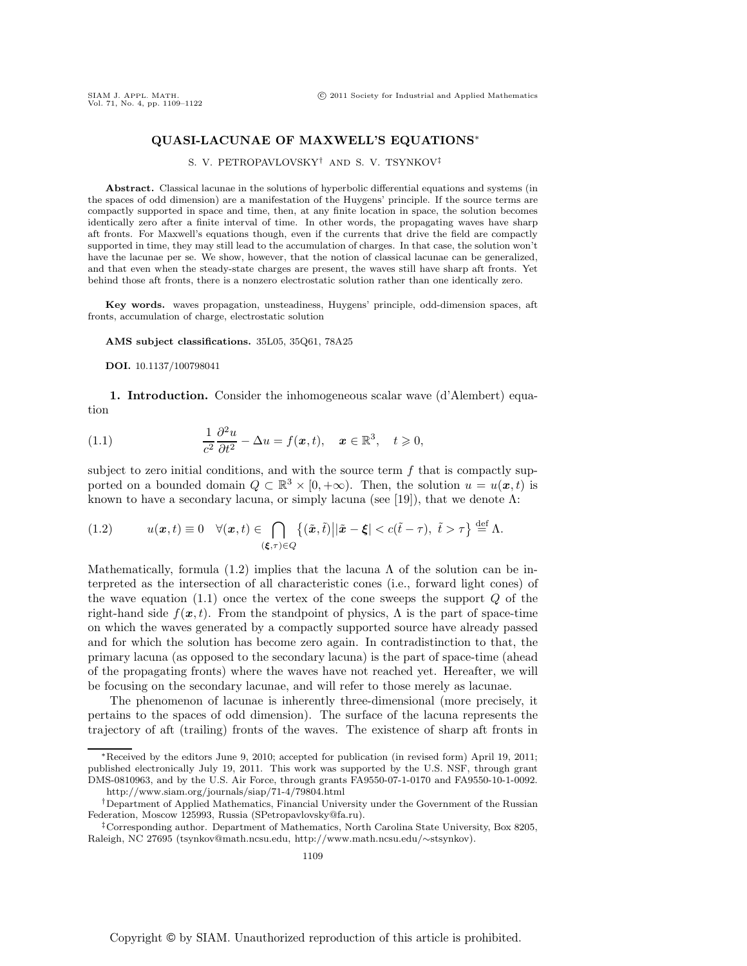# **QUASI-LACUNAE OF MAXWELL'S EQUATIONS**∗

## S. V. PETROPAVLOVSKY† AND S. V. TSYNKOV‡

**Abstract.** Classical lacunae in the solutions of hyperbolic differential equations and systems (in the spaces of odd dimension) are a manifestation of the Huygens' principle. If the source terms are compactly supported in space and time, then, at any finite location in space, the solution becomes identically zero after a finite interval of time. In other words, the propagating waves have sharp aft fronts. For Maxwell's equations though, even if the currents that drive the field are compactly supported in time, they may still lead to the accumulation of charges. In that case, the solution won't have the lacunae per se. We show, however, that the notion of classical lacunae can be generalized, and that even when the steady-state charges are present, the waves still have sharp aft fronts. Yet behind those aft fronts, there is a nonzero electrostatic solution rather than one identically zero.

**Key words.** waves propagation, unsteadiness, Huygens' principle, odd-dimension spaces, aft fronts, accumulation of charge, electrostatic solution

**AMS subject classifications.** 35L05, 35Q61, 78A25

**DOI.** 10.1137/100798041

**1. Introduction.** Consider the inhomogeneous scalar wave (d'Alembert) equation

(1.1) 
$$
\frac{1}{c^2} \frac{\partial^2 u}{\partial t^2} - \Delta u = f(\boldsymbol{x}, t), \quad \boldsymbol{x} \in \mathbb{R}^3, \quad t \geq 0,
$$

subject to zero initial conditions, and with the source term  $f$  that is compactly supported on a bounded domain  $Q \subset \mathbb{R}^3 \times [0, +\infty)$ . Then, the solution  $u = u(x, t)$  is known to have a secondary lacuna, or simply lacuna (see [19]), that we denote  $\Lambda$ :

(1.2) 
$$
u(\boldsymbol{x},t) \equiv 0 \quad \forall (\boldsymbol{x},t) \in \bigcap_{(\boldsymbol{\xi},\tau) \in Q} \{ (\tilde{\boldsymbol{x}},\tilde{t}) | |\tilde{\boldsymbol{x}} - \boldsymbol{\xi}| < c(\tilde{t} - \tau), \ \tilde{t} > \tau \} \stackrel{\text{def}}{=} \Lambda.
$$

Mathematically, formula (1.2) implies that the lacuna  $\Lambda$  of the solution can be interpreted as the intersection of all characteristic cones (i.e., forward light cones) of the wave equation  $(1.1)$  once the vertex of the cone sweeps the support  $Q$  of the right-hand side  $f(\mathbf{x}, t)$ . From the standpoint of physics,  $\Lambda$  is the part of space-time on which the waves generated by a compactly supported source have already passed and for which the solution has become zero again. In contradistinction to that, the primary lacuna (as opposed to the secondary lacuna) is the part of space-time (ahead of the propagating fronts) where the waves have not reached yet. Hereafter, we will be focusing on the secondary lacunae, and will refer to those merely as lacunae.

The phenomenon of lacunae is inherently three-dimensional (more precisely, it pertains to the spaces of odd dimension). The surface of the lacuna represents the trajectory of aft (trailing) fronts of the waves. The existence of sharp aft fronts in

∗Received by the editors June 9, 2010; accepted for publication (in revised form) April 19, 2011; published electronically July 19, 2011. This work was supported by the U.S. NSF, through grant DMS-0810963, and by the U.S. Air Force, through grants FA9550-07-1-0170 and FA9550-10-1-0092.

http://www.siam.org/journals/siap/71-4/79804.html

<sup>†</sup>Department of Applied Mathematics, Financial University under the Government of the Russian Federation, Moscow 125993, Russia (SPetropavlovsky@fa.ru).

<sup>‡</sup>Corresponding author. Department of Mathematics, North Carolina State University, Box 8205, Raleigh, NC 27695 (tsynkov@math.ncsu.edu, http://www.math.ncsu.edu/∼stsynkov).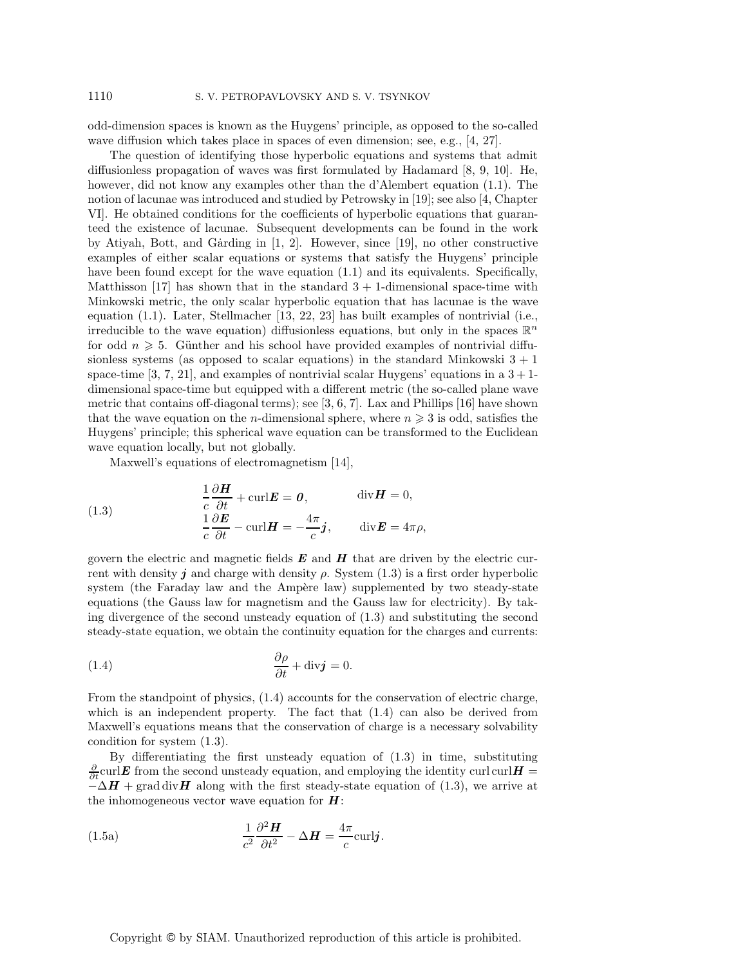odd-dimension spaces is known as the Huygens' principle, as opposed to the so-called wave diffusion which takes place in spaces of even dimension; see, e.g., [4, 27].

The question of identifying those hyperbolic equations and systems that admit diffusionless propagation of waves was first formulated by Hadamard [8, 9, 10]. He, however, did not know any examples other than the d'Alembert equation (1.1). The notion of lacunae was introduced and studied by Petrowsky in [19]; see also [4, Chapter VI]. He obtained conditions for the coefficients of hyperbolic equations that guaranteed the existence of lacunae. Subsequent developments can be found in the work by Atiyah, Bott, and Gårding in  $[1, 2]$ . However, since  $[19]$ , no other constructive examples of either scalar equations or systems that satisfy the Huygens' principle have been found except for the wave equation (1.1) and its equivalents. Specifically, Matthisson [17] has shown that in the standard  $3 + 1$ -dimensional space-time with Minkowski metric, the only scalar hyperbolic equation that has lacunae is the wave equation  $(1.1)$ . Later, Stellmacher [13, 22, 23] has built examples of nontrivial (i.e., irreducible to the wave equation) diffusionless equations, but only in the spaces  $\mathbb{R}^n$ for odd  $n \geqslant 5$ . Günther and his school have provided examples of nontrivial diffusionless systems (as opposed to scalar equations) in the standard Minkowski  $3 + 1$ space-time [3, 7, 21], and examples of nontrivial scalar Huygens' equations in a  $3 + 1$ dimensional space-time but equipped with a different metric (the so-called plane wave metric that contains off-diagonal terms); see [3, 6, 7]. Lax and Phillips [16] have shown that the wave equation on the *n*-dimensional sphere, where  $n \geq 3$  is odd, satisfies the Huygens' principle; this spherical wave equation can be transformed to the Euclidean wave equation locally, but not globally.

Maxwell's equations of electromagnetism [14],

(1.3) 
$$
\frac{1}{c} \frac{\partial \mathbf{H}}{\partial t} + \text{curl} \mathbf{E} = \mathbf{0}, \qquad \text{div} \mathbf{H} = 0,
$$

$$
\frac{1}{c} \frac{\partial \mathbf{E}}{\partial t} - \text{curl} \mathbf{H} = -\frac{4\pi}{c} \mathbf{j}, \qquad \text{div} \mathbf{E} = 4\pi \rho,
$$

govern the electric and magnetic fields *E* and *H* that are driven by the electric current with density *j* and charge with density  $\rho$ . System (1.3) is a first order hyperbolic system (the Faraday law and the Ampère law) supplemented by two steady-state equations (the Gauss law for magnetism and the Gauss law for electricity). By taking divergence of the second unsteady equation of (1.3) and substituting the second steady-state equation, we obtain the continuity equation for the charges and currents:

(1.4) 
$$
\frac{\partial \rho}{\partial t} + \text{div} \mathbf{j} = 0.
$$

From the standpoint of physics, (1.4) accounts for the conservation of electric charge, which is an independent property. The fact that  $(1.4)$  can also be derived from Maxwell's equations means that the conservation of charge is a necessary solvability condition for system (1.3).

By differentiating the first unsteady equation of (1.3) in time, substituting  $\frac{\partial}{\partial t}$  curl*E* from the second unsteady equation, and employing the identity curl curl*H* =  $-\Delta H$  + grad div $H$  along with the first steady-state equation of (1.3), we arrive at the inhomogeneous vector wave equation for *H* :

(1.5a) 
$$
\frac{1}{c^2} \frac{\partial^2 H}{\partial t^2} - \Delta H = \frac{4\pi}{c} \text{curl} \mathbf{j}.
$$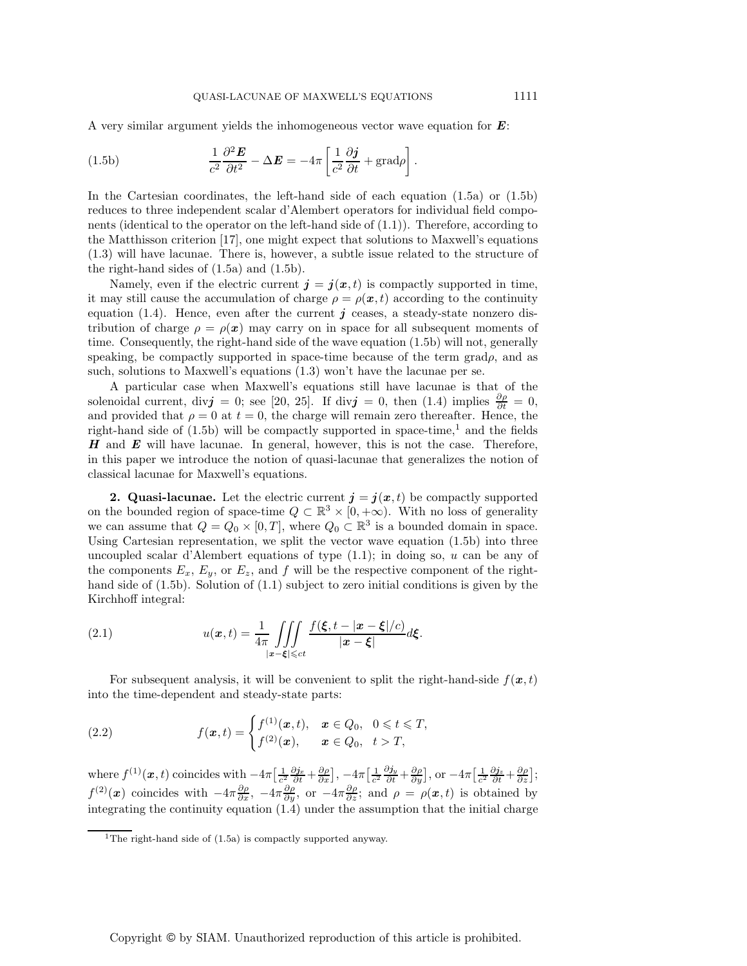A very similar argument yields the inhomogeneous vector wave equation for *E*:

(1.5b) 
$$
\frac{1}{c^2} \frac{\partial^2 \boldsymbol{E}}{\partial t^2} - \Delta \boldsymbol{E} = -4\pi \left[ \frac{1}{c^2} \frac{\partial \boldsymbol{j}}{\partial t} + \text{grad} \rho \right].
$$

In the Cartesian coordinates, the left-hand side of each equation (1.5a) or (1.5b) reduces to three independent scalar d'Alembert operators for individual field components (identical to the operator on the left-hand side of  $(1.1)$ ). Therefore, according to the Matthisson criterion [17], one might expect that solutions to Maxwell's equations (1.3) will have lacunae. There is, however, a subtle issue related to the structure of the right-hand sides of (1.5a) and (1.5b).

Namely, even if the electric current  $\mathbf{j} = \mathbf{j}(\mathbf{x}, t)$  is compactly supported in time, it may still cause the accumulation of charge  $\rho = \rho(\mathbf{x}, t)$  according to the continuity equation  $(1.4)$ . Hence, even after the current *j* ceases, a steady-state nonzero distribution of charge  $\rho = \rho(\mathbf{x})$  may carry on in space for all subsequent moments of time. Consequently, the right-hand side of the wave equation (1.5b) will not, generally speaking, be compactly supported in space-time because of the term  $\text{grad}\rho$ , and as such, solutions to Maxwell's equations (1.3) won't have the lacunae per se.

A particular case when Maxwell's equations still have lacunae is that of the solenoidal current, div $j = 0$ ; see [20, 25]. If div $j = 0$ , then (1.4) implies  $\frac{\partial \rho}{\partial t} = 0$ , and provided that  $\rho = 0$  at  $t = 0$ , the charge will remain zero thereafter. Hence, the right-hand side of  $(1.5b)$  will be compactly supported in space-time,<sup>1</sup> and the fields *H* and *E* will have lacunae. In general, however, this is not the case. Therefore, in this paper we introduce the notion of quasi-lacunae that generalizes the notion of classical lacunae for Maxwell's equations.

**2. Quasi-lacunae.** Let the electric current  $\mathbf{j} = \mathbf{j}(\mathbf{x}, t)$  be compactly supported on the bounded region of space-time  $Q \subset \mathbb{R}^3 \times [0, +\infty)$ . With no loss of generality we can assume that  $Q = Q_0 \times [0, T]$ , where  $Q_0 \subset \mathbb{R}^3$  is a bounded domain in space. Using Cartesian representation, we split the vector wave equation (1.5b) into three uncoupled scalar d'Alembert equations of type  $(1.1)$ ; in doing so, u can be any of the components  $E_x$ ,  $E_y$ , or  $E_z$ , and f will be the respective component of the righthand side of  $(1.5b)$ . Solution of  $(1.1)$  subject to zero initial conditions is given by the Kirchhoff integral:

(2.1) 
$$
u(\boldsymbol{x},t) = \frac{1}{4\pi} \iiint\limits_{|\boldsymbol{x}-\boldsymbol{\xi}| \leqslant ct} \frac{f(\boldsymbol{\xi},t-|\boldsymbol{x}-\boldsymbol{\xi}|/c)}{|\boldsymbol{x}-\boldsymbol{\xi}|} d\boldsymbol{\xi}.
$$

For subsequent analysis, it will be convenient to split the right-hand-side  $f(\mathbf{x}, t)$ into the time-dependent and steady-state parts:

(2.2) 
$$
f(\mathbf{x},t) = \begin{cases} f^{(1)}(\mathbf{x},t), & \mathbf{x} \in Q_0, \quad 0 \leq t \leq T, \\ f^{(2)}(\mathbf{x}), & \mathbf{x} \in Q_0, \quad t > T, \end{cases}
$$

where  $f^{(1)}(\mathbf{x}, t)$  coincides with  $-4\pi \left[\frac{1}{c^2} \frac{\partial j_x}{\partial t} + \frac{\partial \rho}{\partial x}\right]$ ,  $-4\pi \left[\frac{1}{c^2} \frac{\partial j_x}{\partial t} + \frac{\partial \rho}{\partial x}\right]$  $\frac{\partial j_y}{\partial t} + \frac{\partial \rho}{\partial y}$ , or  $-4\pi \left[ \frac{1}{c^2} \frac{\partial j_z}{\partial t} + \frac{\partial \rho}{\partial z} \right]$ ;  $f^{(2)}(x)$  coincides with  $-4\pi \frac{\partial \rho}{\partial x}$ ,  $-4\pi \frac{\partial \rho}{\partial y}$ , or  $-4\pi \frac{\partial \rho}{\partial z}$ ; and  $\rho = \rho(x, t)$  is obtained by integrating the continuity equation (1.4) under the assumption that the initial charge

<sup>&</sup>lt;sup>1</sup>The right-hand side of  $(1.5a)$  is compactly supported anyway.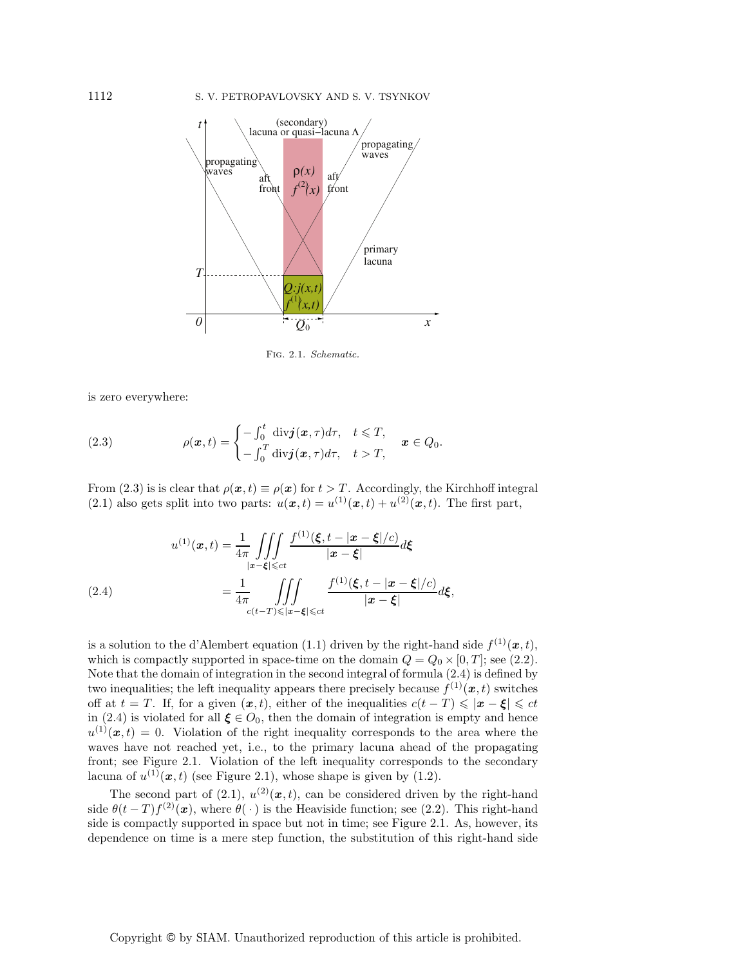

Fig. 2.1. Schematic.

is zero everywhere:

(2.3) 
$$
\rho(\boldsymbol{x},t) = \begin{cases} -\int_0^t \text{div} \boldsymbol{j}(\boldsymbol{x},\tau) d\tau, & t \leq T, \\ -\int_0^T \text{div} \boldsymbol{j}(\boldsymbol{x},\tau) d\tau, & t > T, \end{cases} \boldsymbol{x} \in Q_0.
$$

From (2.3) is is clear that  $\rho(\mathbf{x},t) \equiv \rho(\mathbf{x})$  for  $t > T$ . Accordingly, the Kirchhoff integral (2.1) also gets split into two parts:  $u(\mathbf{x}, t) = u^{(1)}(\mathbf{x}, t) + u^{(2)}(\mathbf{x}, t)$ . The first part,

$$
u^{(1)}(\boldsymbol{x},t) = \frac{1}{4\pi} \iiint\limits_{|\boldsymbol{x}-\boldsymbol{\xi}| \le ct} \frac{f^{(1)}(\boldsymbol{\xi},t-|\boldsymbol{x}-\boldsymbol{\xi}|/c)}{|\boldsymbol{x}-\boldsymbol{\xi}|} d\boldsymbol{\xi}
$$
  
(2.4)  

$$
= \frac{1}{4\pi} \iiint\limits_{c(t-T) \le |\boldsymbol{x}-\boldsymbol{\xi}| \le ct} \frac{f^{(1)}(\boldsymbol{\xi},t-|\boldsymbol{x}-\boldsymbol{\xi}|/c)}{|\boldsymbol{x}-\boldsymbol{\xi}|} d\boldsymbol{\xi},
$$

is a solution to the d'Alembert equation (1.1) driven by the right-hand side  $f^{(1)}(\mathbf{x}, t)$ , which is compactly supported in space-time on the domain  $Q = Q_0 \times [0, T]$ ; see (2.2). Note that the domain of integration in the second integral of formula (2.4) is defined by two inequalities; the left inequality appears there precisely because  $f^{(1)}(\boldsymbol{x}, t)$  switches off at  $t = T$ . If, for a given  $(\boldsymbol{x}, t)$ , either of the inequalities  $c(t - T) \leqslant |\boldsymbol{x} - \boldsymbol{\xi}| \leqslant ct$ in (2.4) is violated for all  $\xi \in O_0$ , then the domain of integration is empty and hence  $u^{(1)}(x,t) = 0$ . Violation of the right inequality corresponds to the area where the waves have not reached yet, i.e., to the primary lacuna ahead of the propagating front; see Figure 2.1. Violation of the left inequality corresponds to the secondary lacuna of  $u^{(1)}(\boldsymbol{x}, t)$  (see Figure 2.1), whose shape is given by (1.2).

The second part of (2.1),  $u^{(2)}(x,t)$ , can be considered driven by the right-hand side  $\theta(t-T)f^{(2)}(\mathbf{x})$ , where  $\theta(\cdot)$  is the Heaviside function; see (2.2). This right-hand side is compactly supported in space but not in time; see Figure 2.1. As, however, its dependence on time is a mere step function, the substitution of this right-hand side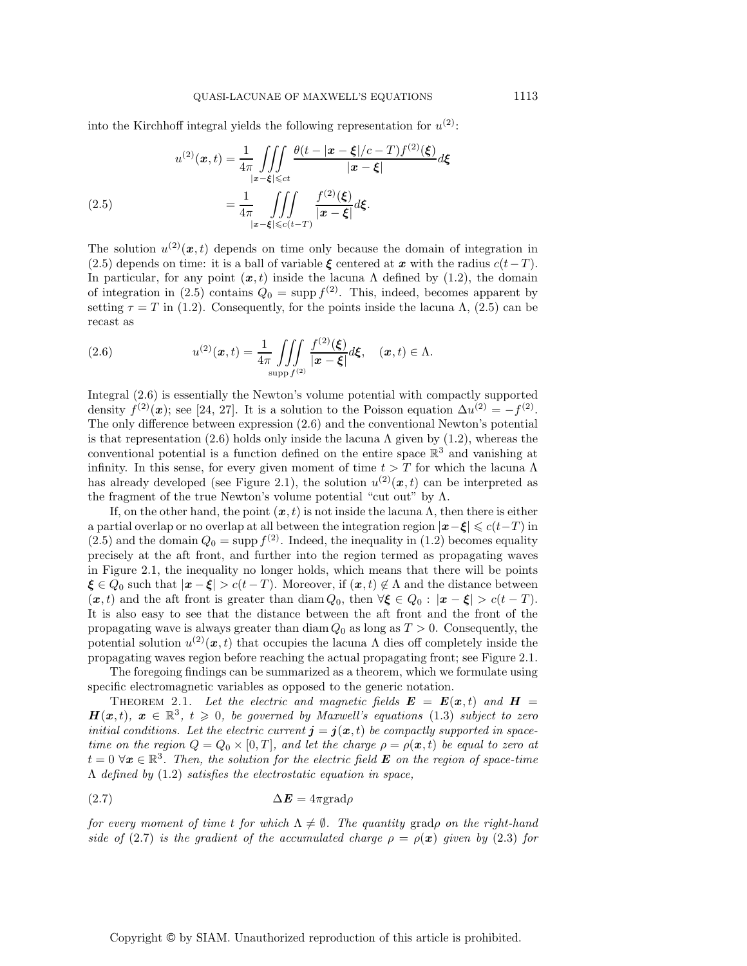into the Kirchhoff integral yields the following representation for  $u^{(2)}$ :

(2.5)  

$$
u^{(2)}(\boldsymbol{x},t) = \frac{1}{4\pi} \iiint\limits_{|\boldsymbol{x}-\boldsymbol{\xi}| \le ct} \frac{\theta(t - |\boldsymbol{x}-\boldsymbol{\xi}|/c - T)f^{(2)}(\boldsymbol{\xi})}{|\boldsymbol{x}-\boldsymbol{\xi}|} d\boldsymbol{\xi}
$$

$$
= \frac{1}{4\pi} \iiint\limits_{|\boldsymbol{x}-\boldsymbol{\xi}| \le c(t-T)} \frac{f^{(2)}(\boldsymbol{\xi})}{|\boldsymbol{x}-\boldsymbol{\xi}|} d\boldsymbol{\xi}.
$$

The solution  $u^{(2)}(x,t)$  depends on time only because the domain of integration in (2.5) depends on time: it is a ball of variable  $\boldsymbol{\xi}$  centered at  $\boldsymbol{x}$  with the radius  $c(t-T)$ . In particular, for any point  $(x, t)$  inside the lacuna  $\Lambda$  defined by (1.2), the domain of integration in (2.5) contains  $Q_0 = \text{supp } f^{(2)}$ . This, indeed, becomes apparent by setting  $\tau = T$  in (1.2). Consequently, for the points inside the lacuna  $\Lambda$ , (2.5) can be recast as

(2.6) 
$$
u^{(2)}(x,t) = \frac{1}{4\pi} \iiint\limits_{\text{supp } f^{(2)}} \frac{f^{(2)}(\xi)}{|x-\xi|} d\xi, \quad (x,t) \in \Lambda.
$$

Integral (2.6) is essentially the Newton's volume potential with compactly supported density  $f^{(2)}(\mathbf{x})$ ; see [24, 27]. It is a solution to the Poisson equation  $\Delta u^{(2)} = -f^{(2)}$ . The only difference between expression (2.6) and the conventional Newton's potential is that representation (2.6) holds only inside the lacuna  $\Lambda$  given by (1.2), whereas the conventional potential is a function defined on the entire space  $\mathbb{R}^3$  and vanishing at infinity. In this sense, for every given moment of time  $t>T$  for which the lacuna  $\Lambda$ has already developed (see Figure 2.1), the solution  $u^{(2)}(x, t)$  can be interpreted as the fragment of the true Newton's volume potential "cut out" by  $\Lambda$ .

If, on the other hand, the point  $(x, t)$  is not inside the lacuna  $\Lambda$ , then there is either a partial overlap or no overlap at all between the integration region  $|\mathbf{x} - \boldsymbol{\xi}| \leq c(t-T)$  in (2.5) and the domain  $Q_0 = \text{supp } f^{(2)}$ . Indeed, the inequality in (1.2) becomes equality precisely at the aft front, and further into the region termed as propagating waves in Figure 2.1, the inequality no longer holds, which means that there will be points  $\xi \in Q_0$  such that  $|\mathbf{x} - \xi| > c(t - T)$ . Moreover, if  $(\mathbf{x}, t) \notin \Lambda$  and the distance between  $(\mathbf{x}, t)$  and the aft front is greater than diam  $Q_0$ , then  $\forall \xi \in Q_0 : |\mathbf{x} - \xi| > c(t - T)$ . It is also easy to see that the distance between the aft front and the front of the propagating wave is always greater than diam  $Q_0$  as long as  $T > 0$ . Consequently, the potential solution  $u^{(2)}(x, t)$  that occupies the lacuna  $\Lambda$  dies off completely inside the propagating waves region before reaching the actual propagating front; see Figure 2.1.

The foregoing findings can be summarized as a theorem, which we formulate using specific electromagnetic variables as opposed to the generic notation.

THEOREM 2.1. Let the electric and magnetic fields  $\mathbf{E} = \mathbf{E}(\mathbf{x}, t)$  and  $\mathbf{H} =$  $H(x,t)$ ,  $x \in \mathbb{R}^3$ ,  $t \geqslant 0$ , be governed by Maxwell's equations (1.3) subject to zero *initial conditions. Let the electric current*  $\mathbf{j} = \mathbf{j}(\mathbf{x}, t)$  *be compactly supported in spacetime on the region*  $Q = Q_0 \times [0, T]$ *, and let the charge*  $\rho = \rho(\mathbf{x}, t)$  *be equal to zero at*  $t = 0 \ \forall x \in \mathbb{R}^3$ . Then, the solution for the electric field **E** on the region of space-time Λ *defined by* (1.2) *satisfies the electrostatic equation in space,*

$$
\Delta E = 4\pi \text{grad}\rho
$$

*for every moment of time t for which*  $\Lambda \neq \emptyset$ . The quantity gradp on the right-hand *side of* (2.7) *is the gradient of the accumulated charge*  $\rho = \rho(\mathbf{x})$  *given by* (2.3) *for*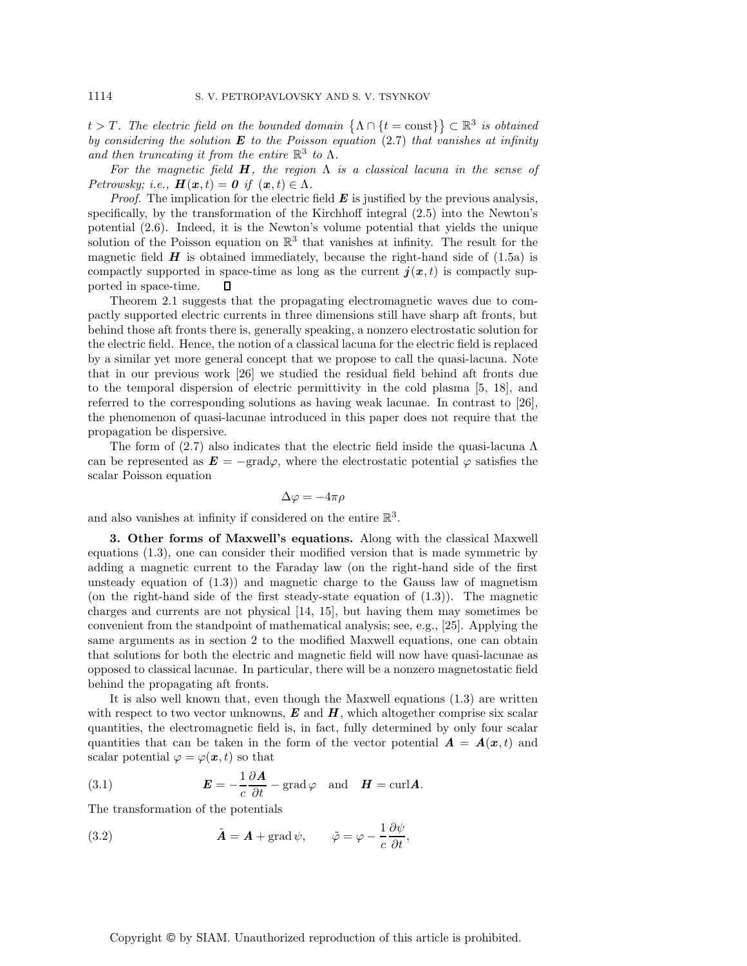t > T. The electric field on the bounded domain  $\{\Lambda \cap \{t = \text{const}\}\}\subset \mathbb{R}^3$  is obtained *by considering the solution E to the Poisson equation* (2.7) *that vanishes at infinity and then truncating it from the entire*  $\mathbb{R}^3$  *to*  $\Lambda$ *.* 

*For the magnetic field*  $H$ *, the region*  $\Lambda$  *is a classical lacuna in the sense of Petrowsky; i.e.,*  $\mathbf{H}(\mathbf{x},t) = \mathbf{0}$  *if*  $(\mathbf{x},t) \in \Lambda$ .

*Proof.* The implication for the electric field  $E$  is justified by the previous analysis, specifically, by the transformation of the Kirchhoff integral (2.5) into the Newton's potential (2.6). Indeed, it is the Newton's volume potential that yields the unique solution of the Poisson equation on  $\mathbb{R}^3$  that vanishes at infinity. The result for the magnetic field  $\boldsymbol{H}$  is obtained immediately, because the right-hand side of  $(1.5a)$  is compactly supported in space-time as long as the current  $j(x, t)$  is compactly supported in space-time.  $\mathsf{\Pi}$ 

Theorem 2.1 suggests that the propagating electromagnetic waves due to compactly supported electric currents in three dimensions still have sharp aft fronts, but behind those aft fronts there is, generally speaking, a nonzero electrostatic solution for the electric field. Hence, the notion of a classical lacuna for the electric field is replaced by a similar yet more general concept that we propose to call the quasi-lacuna. Note that in our previous work [26] we studied the residual field behind aft fronts due to the temporal dispersion of electric permittivity in the cold plasma [5, 18], and referred to the corresponding solutions as having weak lacunae. In contrast to [26], the phenomenon of quasi-lacunae introduced in this paper does not require that the propagation be dispersive.

The form of (2.7) also indicates that the electric field inside the quasi-lacuna  $\Lambda$ can be represented as  $E = -\text{grad}\varphi$ , where the electrostatic potential  $\varphi$  satisfies the scalar Poisson equation

$$
\Delta \varphi = -4\pi \rho
$$

and also vanishes at infinity if considered on the entire  $\mathbb{R}^3$ .

**3. Other forms of Maxwell's equations.** Along with the classical Maxwell equations (1.3), one can consider their modified version that is made symmetric by adding a magnetic current to the Faraday law (on the right-hand side of the first unsteady equation of  $(1.3)$  and magnetic charge to the Gauss law of magnetism (on the right-hand side of the first steady-state equation of  $(1.3)$ ). The magnetic charges and currents are not physical [14, 15], but having them may sometimes be convenient from the standpoint of mathematical analysis; see, e.g., [25]. Applying the same arguments as in section 2 to the modified Maxwell equations, one can obtain that solutions for both the electric and magnetic field will now have quasi-lacunae as opposed to classical lacunae. In particular, there will be a nonzero magnetostatic field behind the propagating aft fronts.

It is also well known that, even though the Maxwell equations (1.3) are written with respect to two vector unknowns,  $E$  and  $H$ , which altogether comprise six scalar quantities, the electromagnetic field is, in fact, fully determined by only four scalar quantities that can be taken in the form of the vector potential  $\mathbf{A} = \mathbf{A}(\mathbf{x}, t)$  and scalar potential  $\varphi = \varphi(\mathbf{x}, t)$  so that

(3.1) 
$$
\boldsymbol{E} = -\frac{1}{c} \frac{\partial \boldsymbol{A}}{\partial t} - \text{grad} \varphi \text{ and } \boldsymbol{H} = \text{curl} \boldsymbol{A}.
$$

The transformation of the potentials

(3.2) 
$$
\tilde{\mathbf{A}} = \mathbf{A} + \text{grad}\,\psi, \qquad \tilde{\varphi} = \varphi - \frac{1}{c} \frac{\partial \psi}{\partial t},
$$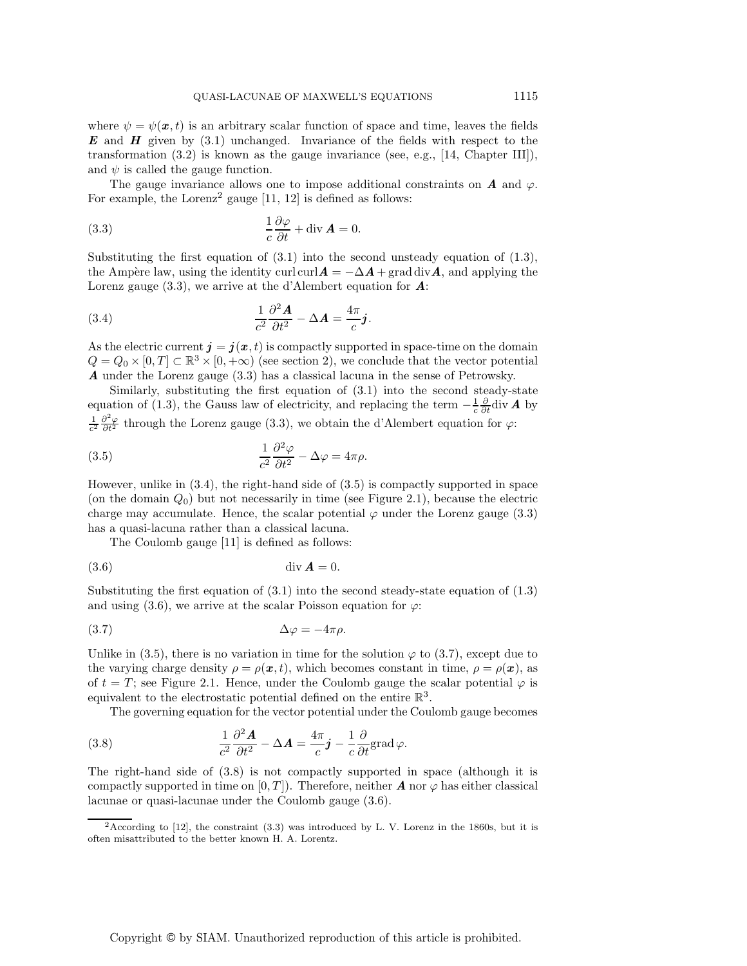where  $\psi = \psi(x, t)$  is an arbitrary scalar function of space and time, leaves the fields *E* and *H* given by (3.1) unchanged. Invariance of the fields with respect to the transformation  $(3.2)$  is known as the gauge invariance (see, e.g., [14, Chapter III]), and  $\psi$  is called the gauge function.

The gauge invariance allows one to impose additional constraints on  $\boldsymbol{A}$  and  $\varphi$ . For example, the Lorenz<sup>2</sup> gauge  $[11, 12]$  is defined as follows:

(3.3) 
$$
\frac{1}{c}\frac{\partial\varphi}{\partial t} + \text{div}\,\mathbf{A} = 0.
$$

Substituting the first equation of  $(3.1)$  into the second unsteady equation of  $(1.3)$ , the Ampère law, using the identity curl curl  $A = -\Delta A + \text{grad div }A$ , and applying the Lorenz gauge (3.3), we arrive at the d'Alembert equation for *A*:

(3.4) 
$$
\frac{1}{c^2} \frac{\partial^2 A}{\partial t^2} - \Delta A = \frac{4\pi}{c} j.
$$

As the electric current  $\mathbf{j} = \mathbf{j}(\mathbf{x}, t)$  is compactly supported in space-time on the domain  $Q = Q_0 \times [0, T] \subset \mathbb{R}^3 \times [0, +\infty)$  (see section 2), we conclude that the vector potential *A* under the Lorenz gauge (3.3) has a classical lacuna in the sense of Petrowsky.

Similarly, substituting the first equation of (3.1) into the second steady-state equation of (1.3), the Gauss law of electricity, and replacing the term  $-\frac{1}{c}\frac{\partial}{\partial t}$ div *A* by  $\frac{1}{c^2} \frac{\partial^2 \varphi}{\partial t^2}$  through the Lorenz gauge (3.3), we obtain the d'Alembert equation for  $\varphi$ :

(3.5) 
$$
\frac{1}{c^2} \frac{\partial^2 \varphi}{\partial t^2} - \Delta \varphi = 4\pi \rho.
$$

However, unlike in (3.4), the right-hand side of (3.5) is compactly supported in space (on the domain  $Q_0$ ) but not necessarily in time (see Figure 2.1), because the electric charge may accumulate. Hence, the scalar potential  $\varphi$  under the Lorenz gauge (3.3) has a quasi-lacuna rather than a classical lacuna.

The Coulomb gauge [11] is defined as follows:

$$
\text{(3.6)}\qquad \qquad \text{div } \mathbf{A} = 0.
$$

Substituting the first equation of  $(3.1)$  into the second steady-state equation of  $(1.3)$ and using (3.6), we arrive at the scalar Poisson equation for  $\varphi$ :

$$
\Delta \varphi = -4\pi \rho.
$$

Unlike in (3.5), there is no variation in time for the solution  $\varphi$  to (3.7), except due to the varying charge density  $\rho = \rho(\mathbf{x}, t)$ , which becomes constant in time,  $\rho = \rho(\mathbf{x})$ , as of  $t = T$ ; see Figure 2.1. Hence, under the Coulomb gauge the scalar potential  $\varphi$  is equivalent to the electrostatic potential defined on the entire  $\mathbb{R}^3$ .

The governing equation for the vector potential under the Coulomb gauge becomes

(3.8) 
$$
\frac{1}{c^2} \frac{\partial^2 A}{\partial t^2} - \Delta A = \frac{4\pi}{c} \mathbf{j} - \frac{1}{c} \frac{\partial}{\partial t} \text{grad} \varphi.
$$

The right-hand side of (3.8) is not compactly supported in space (although it is compactly supported in time on  $[0, T]$ ). Therefore, neither **A** nor  $\varphi$  has either classical lacunae or quasi-lacunae under the Coulomb gauge (3.6).

<sup>&</sup>lt;sup>2</sup> According to [12], the constraint  $(3.3)$  was introduced by L. V. Lorenz in the 1860s, but it is often misattributed to the better known H. A. Lorentz.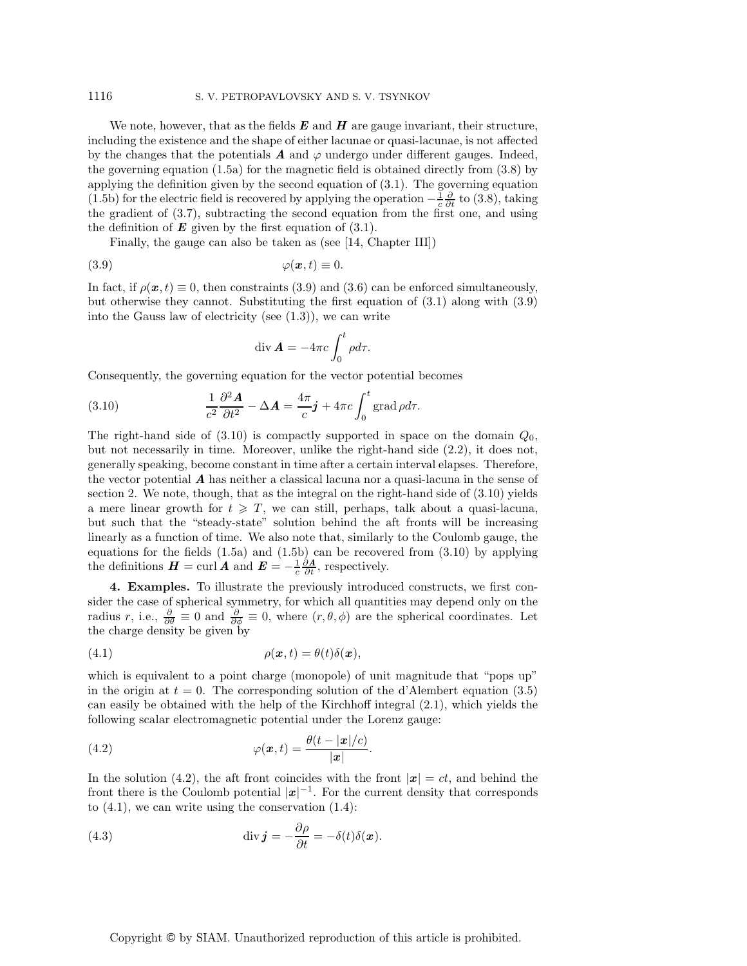We note, however, that as the fields *E* and *H* are gauge invariant, their structure, including the existence and the shape of either lacunae or quasi-lacunae, is not affected by the changes that the potentials  $\boldsymbol{A}$  and  $\varphi$  undergo under different gauges. Indeed, the governing equation (1.5a) for the magnetic field is obtained directly from (3.8) by applying the definition given by the second equation of (3.1). The governing equation (1.5b) for the electric field is recovered by applying the operation  $-\frac{1}{c}\frac{\partial}{\partial t}$  to (3.8), taking the gradient of (3.7), subtracting the second equation from the first one, and using the definition of  $\boldsymbol{E}$  given by the first equation of  $(3.1)$ .

Finally, the gauge can also be taken as (see [14, Chapter III])

$$
\varphi(\mathbf{x},t) \equiv 0.
$$

In fact, if  $\rho(\mathbf{x}, t) \equiv 0$ , then constraints (3.9) and (3.6) can be enforced simultaneously, but otherwise they cannot. Substituting the first equation of (3.1) along with (3.9) into the Gauss law of electricity (see  $(1.3)$ ), we can write

$$
\operatorname{div}\mathbf{A}=-4\pi c\int_0^t\rho d\tau.
$$

Consequently, the governing equation for the vector potential becomes

(3.10) 
$$
\frac{1}{c^2} \frac{\partial^2 \mathbf{A}}{\partial t^2} - \Delta \mathbf{A} = \frac{4\pi}{c} \mathbf{j} + 4\pi c \int_0^t \text{grad} \rho d\tau.
$$

The right-hand side of  $(3.10)$  is compactly supported in space on the domain  $Q_0$ , but not necessarily in time. Moreover, unlike the right-hand side (2.2), it does not, generally speaking, become constant in time after a certain interval elapses. Therefore, the vector potential *A* has neither a classical lacuna nor a quasi-lacuna in the sense of section 2. We note, though, that as the integral on the right-hand side of (3.10) yields a mere linear growth for  $t \geqslant T$ , we can still, perhaps, talk about a quasi-lacuna, but such that the "steady-state" solution behind the aft fronts will be increasing linearly as a function of time. We also note that, similarly to the Coulomb gauge, the equations for the fields  $(1.5a)$  and  $(1.5b)$  can be recovered from  $(3.10)$  by applying the definitions  $\boldsymbol{H} = \text{curl } \boldsymbol{A}$  and  $\boldsymbol{E} = -\frac{1}{c} \frac{\partial \boldsymbol{A}}{\partial t}$ , respectively.

**4. Examples.** To illustrate the previously introduced constructs, we first consider the case of spherical symmetry, for which all quantities may depend only on the radius r, i.e.,  $\frac{\partial}{\partial \theta} \equiv 0$  and  $\frac{\partial}{\partial \phi} \equiv 0$ , where  $(r, \theta, \phi)$  are the spherical coordinates. Let the charge density be given by

(4.1) 
$$
\rho(\boldsymbol{x},t) = \theta(t)\delta(\boldsymbol{x}),
$$

which is equivalent to a point charge (monopole) of unit magnitude that "pops up" in the origin at  $t = 0$ . The corresponding solution of the d'Alembert equation (3.5) can easily be obtained with the help of the Kirchhoff integral (2.1), which yields the following scalar electromagnetic potential under the Lorenz gauge:

(4.2) 
$$
\varphi(\boldsymbol{x},t) = \frac{\theta(t-|\boldsymbol{x}|/c)}{|\boldsymbol{x}|}.
$$

In the solution (4.2), the aft front coincides with the front  $|\mathbf{x}| = ct$ , and behind the front there is the Coulomb potential  $|x|^{-1}$ . For the current density that corresponds to  $(4.1)$ , we can write using the conservation  $(1.4)$ :

(4.3) 
$$
\operatorname{div} \mathbf{j} = -\frac{\partial \rho}{\partial t} = -\delta(t)\delta(\mathbf{x}).
$$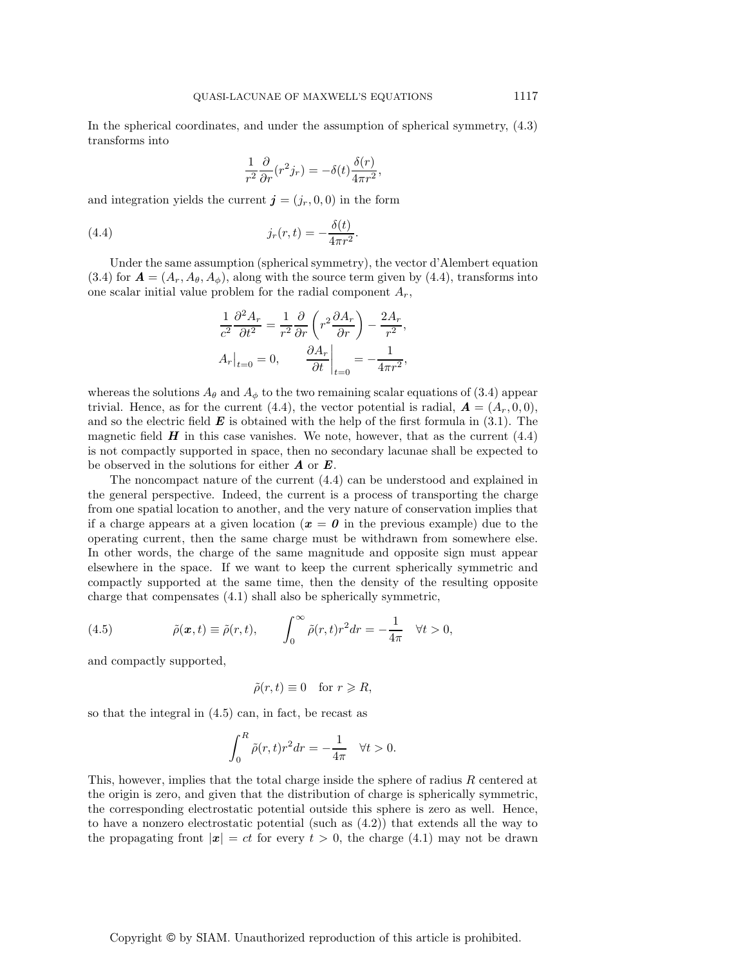In the spherical coordinates, and under the assumption of spherical symmetry, (4.3) transforms into

$$
\frac{1}{r^2}\frac{\partial}{\partial r}(r^2j_r) = -\delta(t)\frac{\delta(r)}{4\pi r^2},
$$

and integration yields the current  $\boldsymbol{j} = (j_r, 0, 0)$  in the form

(4.4) 
$$
j_r(r,t) = -\frac{\delta(t)}{4\pi r^2}.
$$

Under the same assumption (spherical symmetry), the vector d'Alembert equation  $(3.4)$  for  $\mathbf{A} = (A_r, A_\theta, A_\phi)$ , along with the source term given by  $(4.4)$ , transforms into one scalar initial value problem for the radial component  $A_r$ ,

$$
\frac{1}{c^2} \frac{\partial^2 A_r}{\partial t^2} = \frac{1}{r^2} \frac{\partial}{\partial r} \left( r^2 \frac{\partial A_r}{\partial r} \right) - \frac{2A_r}{r^2},
$$
  

$$
A_r \Big|_{t=0} = 0, \qquad \frac{\partial A_r}{\partial t} \Big|_{t=0} = -\frac{1}{4\pi r^2},
$$

whereas the solutions  $A_{\theta}$  and  $A_{\phi}$  to the two remaining scalar equations of (3.4) appear trivial. Hence, as for the current (4.4), the vector potential is radial,  $\mathbf{A} = (A_r, 0, 0)$ , and so the electric field  $\boldsymbol{E}$  is obtained with the help of the first formula in (3.1). The magnetic field  $H$  in this case vanishes. We note, however, that as the current  $(4.4)$ is not compactly supported in space, then no secondary lacunae shall be expected to be observed in the solutions for either *A* or *E*.

The noncompact nature of the current (4.4) can be understood and explained in the general perspective. Indeed, the current is a process of transporting the charge from one spatial location to another, and the very nature of conservation implies that if a charge appears at a given location  $(x = 0$  in the previous example) due to the operating current, then the same charge must be withdrawn from somewhere else. In other words, the charge of the same magnitude and opposite sign must appear elsewhere in the space. If we want to keep the current spherically symmetric and compactly supported at the same time, then the density of the resulting opposite charge that compensates (4.1) shall also be spherically symmetric,

(4.5) 
$$
\tilde{\rho}(\boldsymbol{x},t) \equiv \tilde{\rho}(r,t), \qquad \int_0^\infty \tilde{\rho}(r,t)r^2 dr = -\frac{1}{4\pi} \quad \forall t > 0,
$$

and compactly supported,

$$
\tilde{\rho}(r,t) \equiv 0 \quad \text{for } r \geqslant R,
$$

so that the integral in (4.5) can, in fact, be recast as

$$
\int_0^R \tilde{\rho}(r,t)r^2 dr = -\frac{1}{4\pi} \quad \forall t > 0.
$$

This, however, implies that the total charge inside the sphere of radius R centered at the origin is zero, and given that the distribution of charge is spherically symmetric, the corresponding electrostatic potential outside this sphere is zero as well. Hence, to have a nonzero electrostatic potential (such as (4.2)) that extends all the way to the propagating front  $|\mathbf{x}| = ct$  for every  $t > 0$ , the charge (4.1) may not be drawn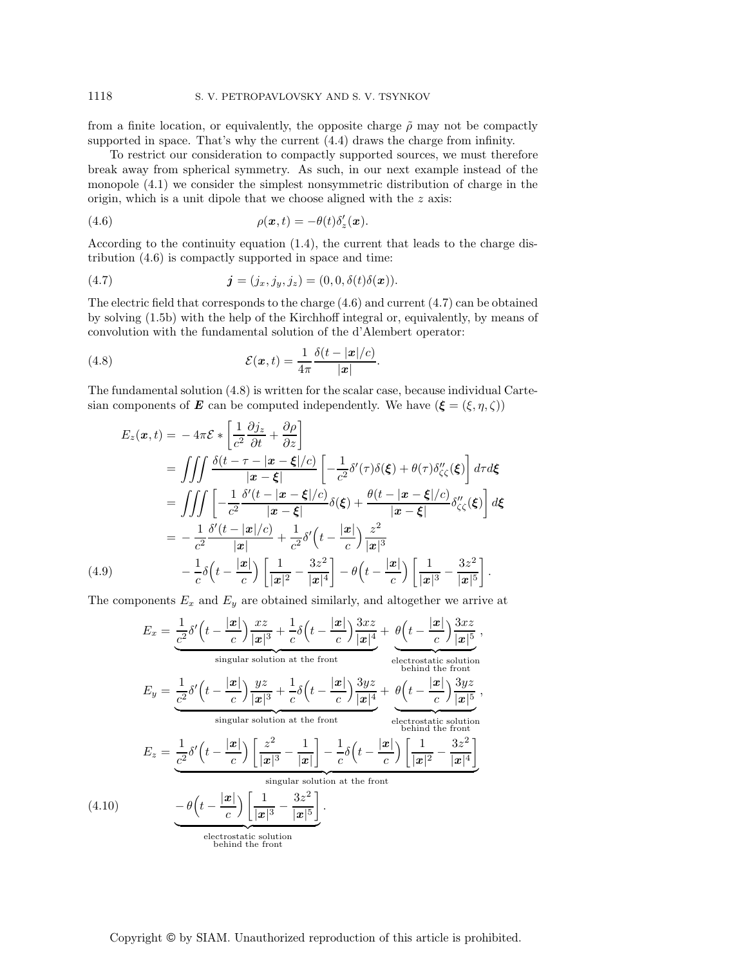from a finite location, or equivalently, the opposite charge  $\tilde{\rho}$  may not be compactly supported in space. That's why the current (4.4) draws the charge from infinity.

To restrict our consideration to compactly supported sources, we must therefore break away from spherical symmetry. As such, in our next example instead of the monopole (4.1) we consider the simplest nonsymmetric distribution of charge in the origin, which is a unit dipole that we choose aligned with the z axis:

(4.6) 
$$
\rho(\boldsymbol{x},t) = -\theta(t)\delta_z'(\boldsymbol{x}).
$$

According to the continuity equation (1.4), the current that leads to the charge distribution (4.6) is compactly supported in space and time:

(4.7) 
$$
\mathbf{j} = (j_x, j_y, j_z) = (0, 0, \delta(t)\delta(\mathbf{x})).
$$

The electric field that corresponds to the charge (4.6) and current (4.7) can be obtained by solving (1.5b) with the help of the Kirchhoff integral or, equivalently, by means of convolution with the fundamental solution of the d'Alembert operator:

(4.8) 
$$
\mathcal{E}(\boldsymbol{x},t) = \frac{1}{4\pi} \frac{\delta(t-|\boldsymbol{x}|/c)}{|\boldsymbol{x}|}.
$$

The fundamental solution (4.8) is written for the scalar case, because individual Cartesian components of **E** can be computed independently. We have  $(\boldsymbol{\xi} = (\xi, \eta, \zeta))$ 

$$
E_z(\mathbf{x},t) = -4\pi \mathcal{E} * \left[ \frac{1}{c^2} \frac{\partial j_z}{\partial t} + \frac{\partial \rho}{\partial z} \right]
$$
  
\n
$$
= \iiint \frac{\delta(t-\tau - |\mathbf{x} - \xi|/c)}{|\mathbf{x} - \xi|} \left[ -\frac{1}{c^2} \delta'(\tau) \delta(\xi) + \theta(\tau) \delta''_{\zeta\zeta}(\xi) \right] d\tau d\xi
$$
  
\n
$$
= \iiint \left[ -\frac{1}{c^2} \frac{\delta'(t - |\mathbf{x} - \xi|/c)}{|\mathbf{x} - \xi|} \delta(\xi) + \frac{\theta(t - |\mathbf{x} - \xi|/c)}{|\mathbf{x} - \xi|} \delta''_{\zeta\zeta}(\xi) \right] d\xi
$$
  
\n
$$
= -\frac{1}{c^2} \frac{\delta'(t - |\mathbf{x}|/c)}{|\mathbf{x}|} + \frac{1}{c^2} \delta'\left(t - \frac{|\mathbf{x}|}{c}\right) \frac{z^2}{|\mathbf{x}|^3}
$$
  
\n(4.9) 
$$
- \frac{1}{c} \delta\left(t - \frac{|\mathbf{x}|}{c}\right) \left[ \frac{1}{|\mathbf{x}|^2} - \frac{3z^2}{|\mathbf{x}|^4} \right] - \theta\left(t - \frac{|\mathbf{x}|}{c}\right) \left[ \frac{1}{|\mathbf{x}|^3} - \frac{3z^2}{|\mathbf{x}|^5} \right].
$$

The components  $E_x$  and  $E_y$  are obtained similarly, and altogether we arrive at

$$
E_x = \underbrace{\frac{1}{c^2} \delta' \left(t - \frac{|\mathbf{x}|}{c}\right) \frac{xz}{|\mathbf{x}|^3} + \frac{1}{c} \delta \left(t - \frac{|\mathbf{x}|}{c}\right) \frac{3xz}{|\mathbf{x}|^4}}_{\text{singular solution at the front}} + \underbrace{\theta \left(t - \frac{|\mathbf{x}|}{c}\right) \frac{3xz}{|\mathbf{x}|^5}}_{\text{behind the front}},
$$
\n
$$
E_y = \underbrace{\frac{1}{c^2} \delta' \left(t - \frac{|\mathbf{x}|}{c}\right) \frac{yz}{|\mathbf{x}|^3} + \frac{1}{c} \delta \left(t - \frac{|\mathbf{x}|}{c}\right) \frac{3yz}{|\mathbf{x}|^4}}_{\text{singular solution at the front}} + \underbrace{\theta \left(t - \frac{|\mathbf{x}|}{c}\right) \frac{3yz}{|\mathbf{x}|^5}}_{\text{electrostatic solution}},
$$
\n
$$
E_z = \underbrace{\frac{1}{c^2} \delta' \left(t - \frac{|\mathbf{x}|}{c}\right) \left[\frac{z^2}{|\mathbf{x}|^3} - \frac{1}{|\mathbf{x}|}\right] - \frac{1}{c} \delta \left(t - \frac{|\mathbf{x}|}{c}\right) \left[\frac{1}{|\mathbf{x}|^2} - \frac{3z^2}{|\mathbf{x}|^4}\right]}_{\text{singular solution at the front}}
$$
\n(4.10)\n
$$
-\theta \left(t - \frac{|\mathbf{x}|}{c}\right) \left[\frac{1}{|\mathbf{x}|^3} - \frac{3z^2}{|\mathbf{x}|^5}\right].
$$
\nelectrostatic solution, which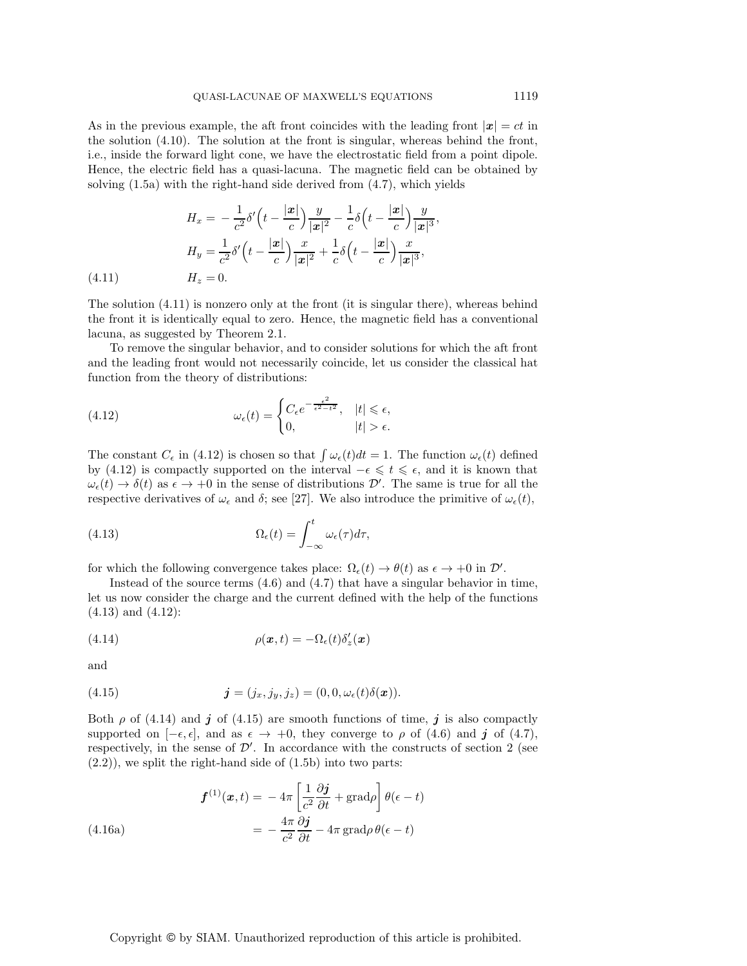As in the previous example, the aft front coincides with the leading front  $|\mathbf{x}| = ct$  in the solution (4.10). The solution at the front is singular, whereas behind the front, i.e., inside the forward light cone, we have the electrostatic field from a point dipole. Hence, the electric field has a quasi-lacuna. The magnetic field can be obtained by solving (1.5a) with the right-hand side derived from (4.7), which yields

$$
H_x = -\frac{1}{c^2} \delta' \left( t - \frac{|\mathbf{x}|}{c} \right) \frac{y}{|\mathbf{x}|^2} - \frac{1}{c} \delta \left( t - \frac{|\mathbf{x}|}{c} \right) \frac{y}{|\mathbf{x}|^3},
$$
  
\n
$$
H_y = \frac{1}{c^2} \delta' \left( t - \frac{|\mathbf{x}|}{c} \right) \frac{x}{|\mathbf{x}|^2} + \frac{1}{c} \delta \left( t - \frac{|\mathbf{x}|}{c} \right) \frac{x}{|\mathbf{x}|^3},
$$
  
\n
$$
H_y = 0
$$

The solution  $(4.11)$  is nonzero only at the front (it is singular there), whereas behind the front it is identically equal to zero. Hence, the magnetic field has a conventional lacuna, as suggested by Theorem 2.1.

To remove the singular behavior, and to consider solutions for which the aft front and the leading front would not necessarily coincide, let us consider the classical hat function from the theory of distributions:

(4.12) 
$$
\omega_{\epsilon}(t) = \begin{cases} C_{\epsilon} e^{-\frac{\epsilon^{2}}{\epsilon^{2}-t^{2}}}, & |t| \leq \epsilon, \\ 0, & |t| > \epsilon. \end{cases}
$$

The constant  $C_{\epsilon}$  in (4.12) is chosen so that  $\int \omega_{\epsilon}(t)dt = 1$ . The function  $\omega_{\epsilon}(t)$  defined by (4.12) is compactly supported on the interval  $-\epsilon \leqslant t \leqslant \epsilon$ , and it is known that  $\omega_{\epsilon}(t) \to \delta(t)$  as  $\epsilon \to +0$  in the sense of distributions  $\mathcal{D}'$ . The same is true for all the respective derivatives of  $\omega_{\epsilon}$  and  $\delta$ ; see [27]. We also introduce the primitive of  $\omega_{\epsilon}(t)$ ,

(4.13) 
$$
\Omega_{\epsilon}(t) = \int_{-\infty}^{t} \omega_{\epsilon}(\tau) d\tau,
$$

for which the following convergence takes place:  $\Omega_{\epsilon}(t) \to \theta(t)$  as  $\epsilon \to +0$  in  $\mathcal{D}'$ .

Instead of the source terms  $(4.6)$  and  $(4.7)$  that have a singular behavior in time, let us now consider the charge and the current defined with the help of the functions (4.13) and (4.12):

(4.14) 
$$
\rho(\boldsymbol{x},t) = -\Omega_{\epsilon}(t)\delta_{z}'(\boldsymbol{x})
$$

and

 $(4.11)$ 

(4.15) 
$$
\mathbf{j} = (j_x, j_y, j_z) = (0, 0, \omega_{\epsilon}(t)\delta(\mathbf{x})).
$$

Both  $\rho$  of (4.14) and *j* of (4.15) are smooth functions of time, *j* is also compactly supported on  $[-\epsilon, \epsilon]$ , and as  $\epsilon \to +0$ , they converge to  $\rho$  of (4.6) and *j* of (4.7), respectively, in the sense of  $\mathcal{D}'$ . In accordance with the constructs of section 2 (see  $(2.2)$ , we split the right-hand side of  $(1.5b)$  into two parts:

(4.16a)  

$$
f^{(1)}(x,t) = -4\pi \left[ \frac{1}{c^2} \frac{\partial j}{\partial t} + \text{grad}\rho \right] \theta(\epsilon - t)
$$

$$
= -\frac{4\pi}{c^2} \frac{\partial j}{\partial t} - 4\pi \text{ grad}\rho \theta(\epsilon - t)
$$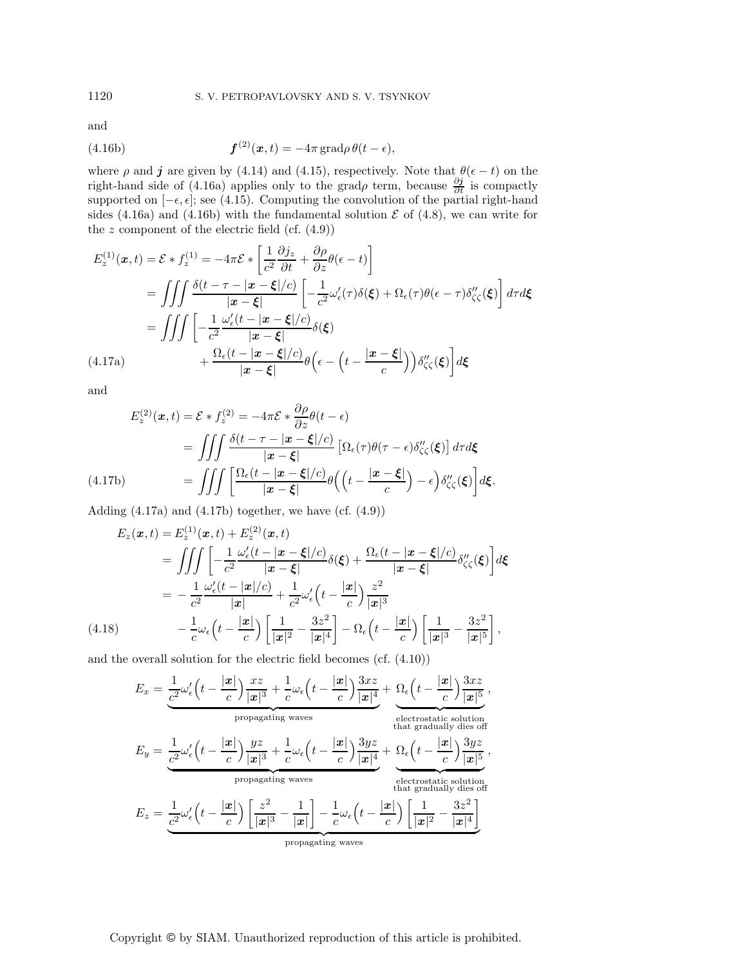and

(4.16b) 
$$
\mathbf{f}^{(2)}(\boldsymbol{x},t)=-4\pi\,\mathrm{grad}\rho\,\theta(t-\epsilon),
$$

where  $\rho$  and *j* are given by (4.14) and (4.15), respectively. Note that  $\theta(\epsilon - t)$  on the right-hand side of (4.16a) applies only to the grad<sub>*ρ*</sub> term, because  $\frac{\partial j}{\partial t}$  is compactly supported on  $[-\epsilon, \epsilon]$ ; see (4.15). Computing the convolution of the partial right-hand sides (4.16a) and (4.16b) with the fundamental solution  $\mathcal E$  of (4.8), we can write for the  $z$  component of the electric field (cf.  $(4.9)$ )

$$
E_z^{(1)}(\mathbf{x},t) = \mathcal{E} * f_z^{(1)} = -4\pi \mathcal{E} * \left[ \frac{1}{c^2} \frac{\partial j_z}{\partial t} + \frac{\partial \rho}{\partial z} \theta(\epsilon - t) \right]
$$
  
\n
$$
= \iiint \frac{\delta(t - \tau - |\mathbf{x} - \xi|/c)}{|\mathbf{x} - \xi|} \left[ -\frac{1}{c^2} \omega_{\epsilon}^{\prime}(\tau) \delta(\xi) + \Omega_{\epsilon}(\tau) \theta(\epsilon - \tau) \delta_{\zeta\zeta}^{\prime\prime}(\xi) \right] d\tau d\xi
$$
  
\n
$$
= \iiint \left[ -\frac{1}{c^2} \frac{\omega_{\epsilon}^{\prime}(t - |\mathbf{x} - \xi|/c)}{|\mathbf{x} - \xi|} \delta(\xi) + \frac{\Omega_{\epsilon}(t - |\mathbf{x} - \xi|/c)}{|\mathbf{x} - \xi|} \delta(\xi) \right]
$$
  
\n(4.17a)

and

$$
E_z^{(2)}(\mathbf{x},t) = \mathcal{E} * f_z^{(2)} = -4\pi \mathcal{E} * \frac{\partial \rho}{\partial z} \theta(t-\epsilon)
$$
  
= 
$$
\iiint \frac{\delta(t-\tau - |\mathbf{x}-\boldsymbol{\xi}|/c)}{|\mathbf{x}-\boldsymbol{\xi}|} \left[ \Omega_{\epsilon}(\tau) \theta(\tau - \epsilon) \delta_{\zeta\zeta}''(\boldsymbol{\xi}) \right] d\tau d\boldsymbol{\xi}
$$
  
(4.17b)  
= 
$$
\iiint \left[ \frac{\Omega_{\epsilon}(t-|\mathbf{x}-\boldsymbol{\xi}|/c)}{|\mathbf{x}-\boldsymbol{\xi}|} \theta\left( \left( t - \frac{|\mathbf{x}-\boldsymbol{\xi}|}{c} \right) - \epsilon \right) \delta_{\zeta\zeta}''(\boldsymbol{\xi}) \right] d\boldsymbol{\xi}.
$$

Adding  $(4.17a)$  and  $(4.17b)$  together, we have  $(cf. (4.9))$ 

$$
E_z(\boldsymbol{x},t) = E_z^{(1)}(\boldsymbol{x},t) + E_z^{(2)}(\boldsymbol{x},t)
$$
  
\n
$$
= \iiint \left[ -\frac{1}{c^2} \frac{\omega_{\epsilon}'(t - |\boldsymbol{x} - \boldsymbol{\xi}|/c)}{|\boldsymbol{x} - \boldsymbol{\xi}|} \delta(\boldsymbol{\xi}) + \frac{\Omega_{\epsilon}(t - |\boldsymbol{x} - \boldsymbol{\xi}|/c)}{|\boldsymbol{x} - \boldsymbol{\xi}|} \delta_{\zeta\zeta}''(\boldsymbol{\xi}) \right] d\boldsymbol{\xi}
$$
  
\n
$$
= -\frac{1}{c^2} \frac{\omega_{\epsilon}'(t - |\boldsymbol{x}|/c)}{|\boldsymbol{x}|} + \frac{1}{c^2} \omega_{\epsilon}'\left(t - \frac{|\boldsymbol{x}|}{c}\right) \frac{z^2}{|\boldsymbol{x}|^3}
$$
  
\n(4.18) 
$$
- \frac{1}{c} \omega_{\epsilon}\left(t - \frac{|\boldsymbol{x}|}{c}\right) \left[ \frac{1}{|\boldsymbol{x}|^2} - \frac{3z^2}{|\boldsymbol{x}|^4} \right] - \Omega_{\epsilon}\left(t - \frac{|\boldsymbol{x}|}{c}\right) \left[ \frac{1}{|\boldsymbol{x}|^3} - \frac{3z^2}{|\boldsymbol{x}|^5} \right],
$$

and the overall solution for the electric field becomes (cf. (4.10))

$$
E_x = \underbrace{\frac{1}{c^2} \omega'_{\epsilon} \left(t - \frac{|\mathbf{x}|}{c}\right) \frac{xz}{|\mathbf{x}|^3} + \frac{1}{c} \omega_{\epsilon} \left(t - \frac{|\mathbf{x}|}{c}\right) \frac{3xz}{|\mathbf{x}|^4}}_{\text{propagating waves}} + \underbrace{\Omega_{\epsilon} \left(t - \frac{|\mathbf{x}|}{c}\right) \frac{3xz}{|\mathbf{x}|^5}}_{\text{electrostatic solution}}.
$$
\n
$$
E_y = \underbrace{\frac{1}{c^2} \omega'_{\epsilon} \left(t - \frac{|\mathbf{x}|}{c}\right) \frac{yz}{|\mathbf{x}|^3} + \frac{1}{c} \omega_{\epsilon} \left(t - \frac{|\mathbf{x}|}{c}\right) \frac{3yz}{|\mathbf{x}|^4}}_{\text{propagating waves}} + \underbrace{\Omega_{\epsilon} \left(t - \frac{|\mathbf{x}|}{c}\right) \frac{3yz}{|\mathbf{x}|^5}}_{\text{electrostatic solution, that gradually dies off}
$$
\n
$$
E_z = \underbrace{\frac{1}{c^2} \omega'_{\epsilon} \left(t - \frac{|\mathbf{x}|}{c}\right) \left[\frac{z^2}{|\mathbf{x}|^3} - \frac{1}{|\mathbf{x}|}\right] - \frac{1}{c} \omega_{\epsilon} \left(t - \frac{|\mathbf{x}|}{c}\right) \left[\frac{1}{|\mathbf{x}|^2} - \frac{3z^2}{|\mathbf{x}|^4}\right]}_{\text{propagating waves}}
$$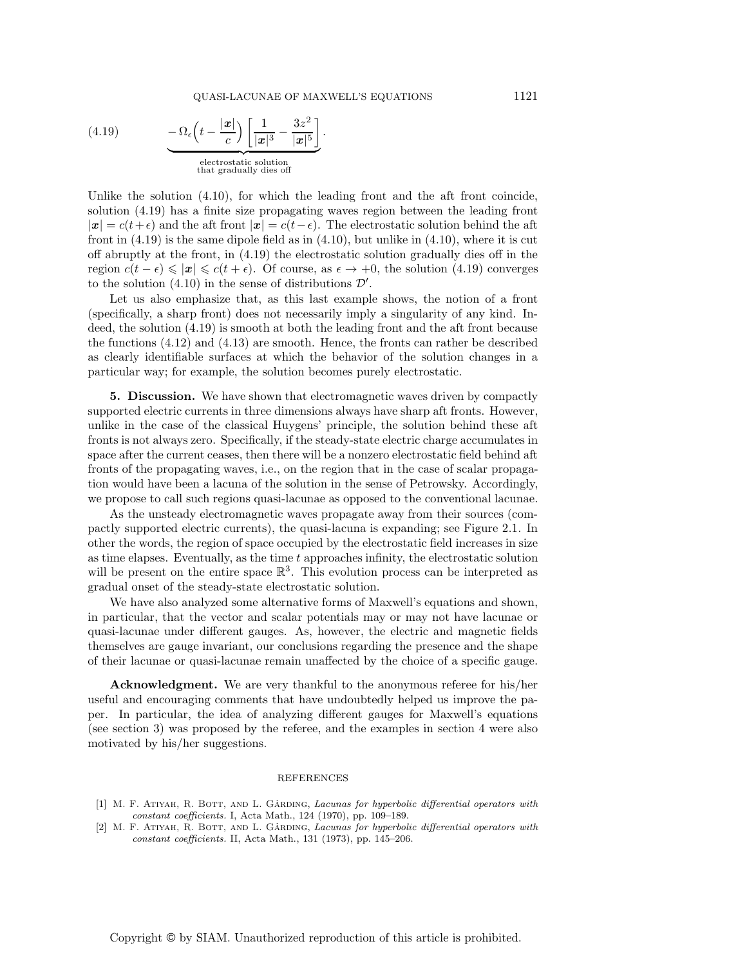(4.19) 
$$
- \Omega_{\epsilon} \left( t - \frac{|\mathbf{x}|}{c} \right) \left[ \frac{1}{|\mathbf{x}|^3} - \frac{3z^2}{|\mathbf{x}|^5} \right].
$$
  
electrostatic solution  
that gradually dies off

Unlike the solution  $(4.10)$ , for which the leading front and the aft front coincide, solution (4.19) has a finite size propagating waves region between the leading front  $|\mathbf{x}| = c(t+\epsilon)$  and the aft front  $|\mathbf{x}| = c(t-\epsilon)$ . The electrostatic solution behind the aft front in  $(4.19)$  is the same dipole field as in  $(4.10)$ , but unlike in  $(4.10)$ , where it is cut off abruptly at the front, in (4.19) the electrostatic solution gradually dies off in the region  $c(t - \epsilon) \leqslant |x| \leqslant c(t + \epsilon)$ . Of course, as  $\epsilon \to +0$ , the solution (4.19) converges to the solution  $(4.10)$  in the sense of distributions  $\mathcal{D}'$ .

Let us also emphasize that, as this last example shows, the notion of a front (specifically, a sharp front) does not necessarily imply a singularity of any kind. Indeed, the solution (4.19) is smooth at both the leading front and the aft front because the functions (4.12) and (4.13) are smooth. Hence, the fronts can rather be described as clearly identifiable surfaces at which the behavior of the solution changes in a particular way; for example, the solution becomes purely electrostatic.

**5. Discussion.** We have shown that electromagnetic waves driven by compactly supported electric currents in three dimensions always have sharp aft fronts. However, unlike in the case of the classical Huygens' principle, the solution behind these aft fronts is not always zero. Specifically, if the steady-state electric charge accumulates in space after the current ceases, then there will be a nonzero electrostatic field behind aft fronts of the propagating waves, i.e., on the region that in the case of scalar propagation would have been a lacuna of the solution in the sense of Petrowsky. Accordingly, we propose to call such regions quasi-lacunae as opposed to the conventional lacunae.

As the unsteady electromagnetic waves propagate away from their sources (compactly supported electric currents), the quasi-lacuna is expanding; see Figure 2.1. In other the words, the region of space occupied by the electrostatic field increases in size as time elapses. Eventually, as the time  $t$  approaches infinity, the electrostatic solution will be present on the entire space  $\mathbb{R}^3$ . This evolution process can be interpreted as gradual onset of the steady-state electrostatic solution.

We have also analyzed some alternative forms of Maxwell's equations and shown, in particular, that the vector and scalar potentials may or may not have lacunae or quasi-lacunae under different gauges. As, however, the electric and magnetic fields themselves are gauge invariant, our conclusions regarding the presence and the shape of their lacunae or quasi-lacunae remain unaffected by the choice of a specific gauge.

**Acknowledgment.** We are very thankful to the anonymous referee for his/her useful and encouraging comments that have undoubtedly helped us improve the paper. In particular, the idea of analyzing different gauges for Maxwell's equations (see section 3) was proposed by the referee, and the examples in section 4 were also motivated by his/her suggestions.

#### REFERENCES

- [1] M. F. ATIYAH, R. BOTT, AND L. GARDING, Lacunas for hyperbolic differential operators with constant coefficients. I, Acta Math., 124 (1970), pp. 109–189.
- [2] M. F. ATIYAH, R. BOTT, AND L. GARDING, Lacunas for hyperbolic differential operators with constant coefficients. II, Acta Math., 131 (1973), pp. 145–206.